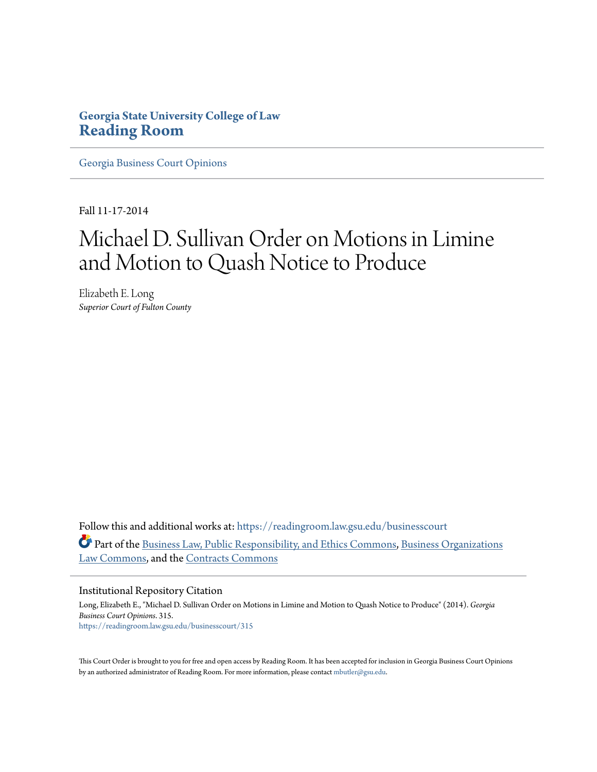# **Georgia State University College of Law [Reading Room](https://readingroom.law.gsu.edu?utm_source=readingroom.law.gsu.edu%2Fbusinesscourt%2F315&utm_medium=PDF&utm_campaign=PDFCoverPages)**

[Georgia Business Court Opinions](https://readingroom.law.gsu.edu/businesscourt?utm_source=readingroom.law.gsu.edu%2Fbusinesscourt%2F315&utm_medium=PDF&utm_campaign=PDFCoverPages)

Fall 11-17-2014

# Michael D. Sullivan Order on Motions in Limine and Motion to Quash Notice to Produce

Elizabeth E. Long *Superior Court of Fulton County*

Follow this and additional works at: [https://readingroom.law.gsu.edu/businesscourt](https://readingroom.law.gsu.edu/businesscourt?utm_source=readingroom.law.gsu.edu%2Fbusinesscourt%2F315&utm_medium=PDF&utm_campaign=PDFCoverPages) Part of the [Business Law, Public Responsibility, and Ethics Commons,](http://network.bepress.com/hgg/discipline/628?utm_source=readingroom.law.gsu.edu%2Fbusinesscourt%2F315&utm_medium=PDF&utm_campaign=PDFCoverPages) [Business Organizations](http://network.bepress.com/hgg/discipline/900?utm_source=readingroom.law.gsu.edu%2Fbusinesscourt%2F315&utm_medium=PDF&utm_campaign=PDFCoverPages) [Law Commons](http://network.bepress.com/hgg/discipline/900?utm_source=readingroom.law.gsu.edu%2Fbusinesscourt%2F315&utm_medium=PDF&utm_campaign=PDFCoverPages), and the [Contracts Commons](http://network.bepress.com/hgg/discipline/591?utm_source=readingroom.law.gsu.edu%2Fbusinesscourt%2F315&utm_medium=PDF&utm_campaign=PDFCoverPages)

#### Institutional Repository Citation

Long, Elizabeth E., "Michael D. Sullivan Order on Motions in Limine and Motion to Quash Notice to Produce" (2014). *Georgia Business Court Opinions*. 315. [https://readingroom.law.gsu.edu/businesscourt/315](https://readingroom.law.gsu.edu/businesscourt/315?utm_source=readingroom.law.gsu.edu%2Fbusinesscourt%2F315&utm_medium=PDF&utm_campaign=PDFCoverPages)

This Court Order is brought to you for free and open access by Reading Room. It has been accepted for inclusion in Georgia Business Court Opinions by an authorized administrator of Reading Room. For more information, please contact [mbutler@gsu.edu.](mailto:mbutler@gsu.edu)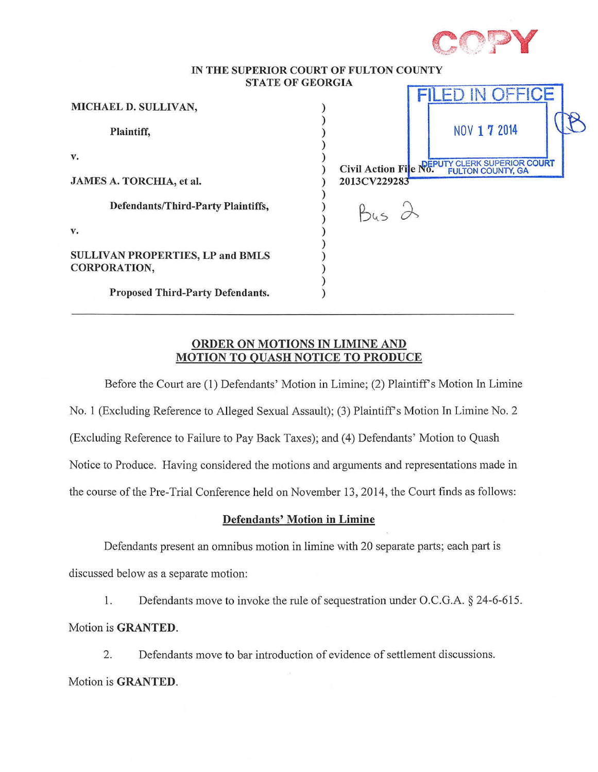

#### IN THE SUPERIOR COURT OF FULTON COUNTY STATE OF GEORGIA  $F = 1$

| MICHAEL D. SULLIVAN,                                    | FILED IN UFFIUE                         |
|---------------------------------------------------------|-----------------------------------------|
| Plaintiff,                                              | NOV 1 7 2014                            |
| v.                                                      | Civil Action File No. FULTON COUNTY, GA |
| JAMES A. TORCHIA, et al.                                | 2013CV229283                            |
| Defendants/Third-Party Plaintiffs,                      |                                         |
| v.                                                      |                                         |
| <b>SULLIVAN PROPERTIES, LP and BMLS</b><br>CORPORATION, |                                         |
| Proposed Third-Party Defendants.                        |                                         |

#### ORDER ON MOTIONS IN LIMINE AND MOTION TO QUASH NOTICE TO PRODUCE

Before the Court are (1) Defendants' Motion in Limine; (2) Plaintiff's Motion In Limine No. 1 (Excluding Reference to Alleged Sexual Assault); (3) Plaintiff's Motion In Limine No. 2 (Excluding Reference to Failure to Pay Back Taxes); and (4) Defendants' Motion to Quash Notice to Produce. Having considered the motions and arguments and representations made in the course of the Pre-Trial Conference held on November 13, 2014, the Court finds as follows:

## Defendants' Motion in Limine

Defendants present an omnibus motion in limine with 20 separate parts; each part is discussed below as a separate motion:

1. Defendants move to invoke the rule of sequestration under O.C.G.A. § 24-6-615. Motion is GRANTED.

2. Defendants move to bar introduction of evidence of settlement discussions. Motion is GRANTED.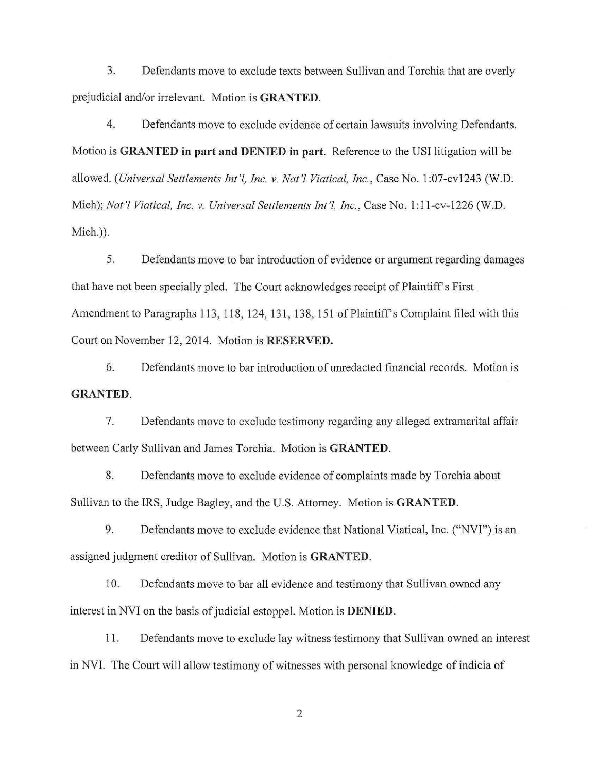3. Defendants move to exclude texts between Sullivan and Torchia that are overly prejudicial and/or irrelevant. Motion is **GRANTED**.

4. Defendants move to exclude evidence of certain lawsuits involving Defendants. Motion is **GRANTED in part and DENIED in part.** Reference to the USI litigation will be allowed. *(Universal Settlements Int'l, Inc.* v. *Nat'l Viatical, Inc.,* Case No.1 :07-cvI243 (W.D. Mich); *Nat 'I Viatical, Inc.* v. *Universal Settlements Int'!, Inc.,* Case No.1: 11-cv-1226 (W.D. Mich.)).

5. Defendants move to bar introduction of evidence or argument regarding damages that have not been specially pled. The Court acknowledges receipt of Plaintiff's First. Amendment to Paragraphs 113, 118, 124, 131, 138, 151 of Plaintiff's Complaint filed with this Court on November 12,2014. Motion is **RESERVED.** 

6. Defendants move to bar introduction of unredacted financial records. Motion is **GRANTED.** 

7. Defendants move to exclude testimony regarding any alleged extramarital affair between Carly Sullivan and James Torchia. Motion is **GRANTED.** 

8. Defendants move to exclude evidence of complaints made by Torchia about Sullivan to the IRS, Judge Bagley, and the U.S. Attorney. Motion is **GRANTED.** 

9. Defendants move to exclude evidence that National Viatical, Inc. ("NVI") is an assigned judgment creditor of Sullivan. Motion is **GRANTED.** 

10. Defendants move to bar all evidence and testimony that Sullivan owned any interest in NVI on the basis of judicial estoppel. Motion is **DENIED.** 

11. Defendants move to exclude lay witness testimony that Sullivan owned an interest in NVI. The Court will allow testimony of witnesses with personal knowledge of indicia of

2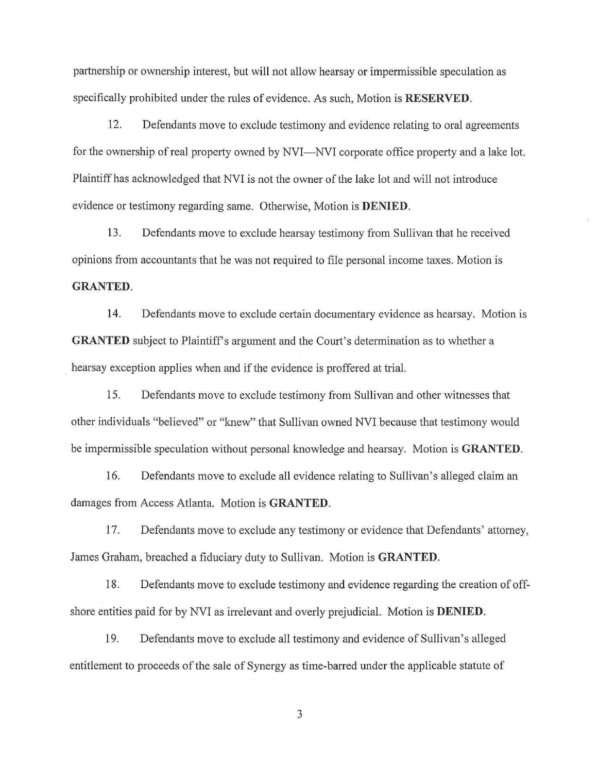partnership or ownership interest, but will not allow hearsay or impermissible speculation as specifically prohibited under the rules of evidence. As such, Motion is **RESERVED.** 

12. Defendants move to exclude testimony and evidence relating to oral agreements for the ownership of real property owned by NVI—NVI corporate office property and a lake lot. Plaintiff has acknowledged that NVI is not the owner of the lake lot and will not introduce evidence or testimony regarding same. Otherwise, Motion is **DENIED.** 

13. Defendants move to exclude hearsay testimony from Sullivan that he received opinions from accountants that he was not required to file personal income taxes. Motion is **GRANTED.** 

14. Defendants move to exclude certain documentary evidence as hearsay. Motion is **GRANTED** subject to Plaintiff's argument and the Court's determination as to whether a hearsay exception applies when and if the evidence is proffered at trial.

15. Defendants move to exclude testimony from Sullivan and other witnesses that other individuals "believed" or "knew" that Sullivan owned NVI because that testimony would be impermissible speculation without personal knowledge and hearsay. Motion is **GRANTED.** 

16. Defendants move to exclude all evidence relating to Sullivan's alleged claim an damages from Access Atlanta. Motion is **GRANTED.** 

17. Defendants move to exclude any testimony or evidence that Defendants' attorney, James Graham, breached a fiduciary duty to Sullivan. Motion is **GRANTED.** 

18. Defendants move to exclude testimony and evidence regarding the creation of offshore entities paid for by NVI as irrelevant and overly prejudicial. Motion is **DENIED.** 

19. Defendants move to exclude all testimony and evidence of Sullivan's alleged entitlement to proceeds of the sale of Synergy as time-barred under the applicable statute of

3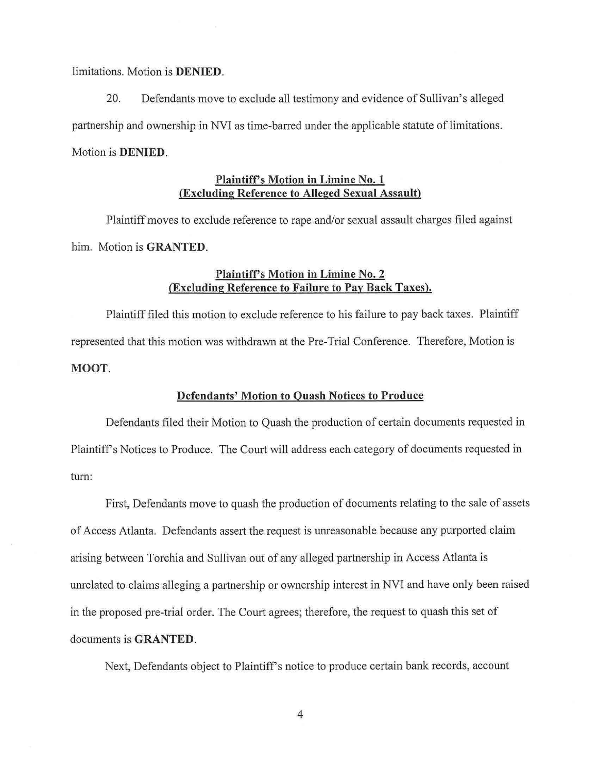limitations. Motion is **DENIED.** 

20. Defendants move to exclude all testimony and evidence of Sullivan's alleged partnership and ownership in NVI as time-barred under the applicable statute of limitations. Motion is **DENIED.** 

#### **Plaintiffs Motion in Limine No.1 (Excluding Reference to Alleged Sexual Assault)**

Plaintiff moves to exclude reference to rape and/or sexual assault charges filed against him. Motion is **GRANTED.** 

#### **Plaintiffs Motion in Limine No.2 (Excluding Reference to Failure to Pay Back Taxes).**

Plaintiff filed this motion to exclude reference to his failure to pay back taxes. Plaintiff represented that this motion was withdrawn at the Pre-Trial Conference. Therefore, Motion is **MOOT.** 

#### **Defendants' Motion to Quash Notices to Produce**

Defendants filed their Motion to Quash the production of certain documents requested in Plaintiffs Notices to Produce. The Court will address each category of documents requested in turn:

First, Defendants move to quash the production of documents relating to the sale of assets of Access Atlanta. Defendants assert the request is unreasonable because any purported claim arising between Torchia and Sullivan out of any alleged partnership in Access Atlanta is unrelated to claims alleging a partnership or ownership interest in NVI and have only been raised in the proposed pre-trial order. The Court agrees; therefore, the request to quash this set of documents is **GRANTED.** 

Next, Defendants object to Plaintiff's notice to produce certain bank records, account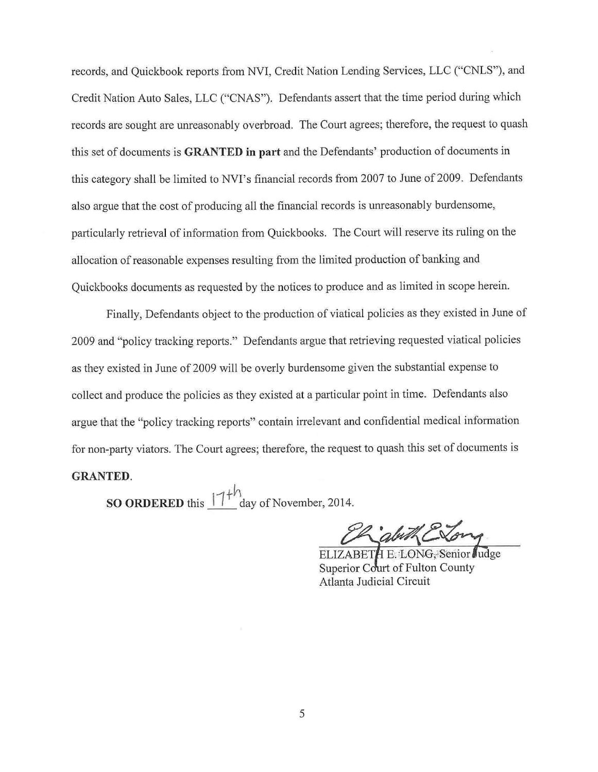records, and Quickbook reports from NVI, Credit Nation Lending Services, LLC ("CNLS"), and Credit Nation Auto Sales, LLC ("CNAS"). Defendants assert that the time period during which records are sought are unreasonably overbroad. The Court agrees; therefore, the request to quash this set of documents is **GRANTED in part** and the Defendants' production of documents in this category shall be limited to NVI's financial records from 2007 to June of 2009. Defendants also argue that the cost of producing all the financial records is unreasonably burdensome, particularly retrieval of information from Quickbooks. The Court will reserve its ruling on the allocation of reasonable expenses resulting from the limited production of banking and Quickbooks documents as requested by the notices to produce and as limited in scope herein.

Finally, Defendants object to the production of viatical policies as they existed in June of 2009 and "policy tracking reports." Defendants argue that retrieving requested viatical policies as they existed in June of 2009 will be overly burdensome given the substantial expense to collect and produce the policies as they existed at a particular point in time. Defendants also argue that the "policy tracking reports" contain irrelevant and confidential medical information for non-party viators. The Court agrees; therefore, the request to quash this set of documents is

### **GRANTED.**

**SO ORDERED** this  $\frac{|1|^{4h}}{h}$  day of November, 2014.

abithe

ELIZABETH E: LONG. Senior Judge Superior Court of Fulton County Atlanta Judicial Circuit